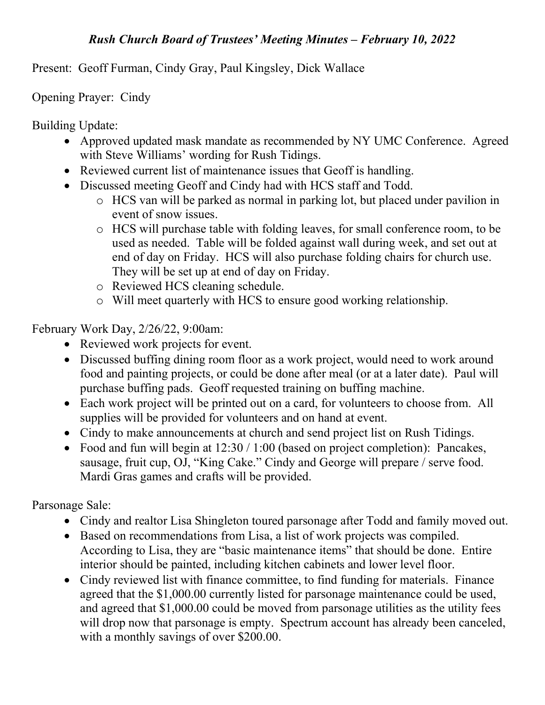## Rush Church Board of Trustees' Meeting Minutes – February 10, 2022

Present: Geoff Furman, Cindy Gray, Paul Kingsley, Dick Wallace

Opening Prayer: Cindy

Building Update:

- Approved updated mask mandate as recommended by NY UMC Conference. Agreed with Steve Williams' wording for Rush Tidings.
- Reviewed current list of maintenance issues that Geoff is handling.
- Discussed meeting Geoff and Cindy had with HCS staff and Todd.
	- o HCS van will be parked as normal in parking lot, but placed under pavilion in event of snow issues.
	- o HCS will purchase table with folding leaves, for small conference room, to be used as needed. Table will be folded against wall during week, and set out at end of day on Friday. HCS will also purchase folding chairs for church use. They will be set up at end of day on Friday.
	- o Reviewed HCS cleaning schedule.
	- o Will meet quarterly with HCS to ensure good working relationship.

February Work Day, 2/26/22, 9:00am:

- Reviewed work projects for event.
- Discussed buffing dining room floor as a work project, would need to work around food and painting projects, or could be done after meal (or at a later date). Paul will purchase buffing pads. Geoff requested training on buffing machine.
- Each work project will be printed out on a card, for volunteers to choose from. All supplies will be provided for volunteers and on hand at event.
- Cindy to make announcements at church and send project list on Rush Tidings.
- Food and fun will begin at  $12:30 / 1:00$  (based on project completion): Pancakes, sausage, fruit cup, OJ, "King Cake." Cindy and George will prepare / serve food. Mardi Gras games and crafts will be provided.

Parsonage Sale:

- Cindy and realtor Lisa Shingleton toured parsonage after Todd and family moved out.
- Based on recommendations from Lisa, a list of work projects was compiled. According to Lisa, they are "basic maintenance items" that should be done. Entire interior should be painted, including kitchen cabinets and lower level floor.
- Cindy reviewed list with finance committee, to find funding for materials. Finance agreed that the \$1,000.00 currently listed for parsonage maintenance could be used, and agreed that \$1,000.00 could be moved from parsonage utilities as the utility fees will drop now that parsonage is empty. Spectrum account has already been canceled, with a monthly savings of over \$200.00.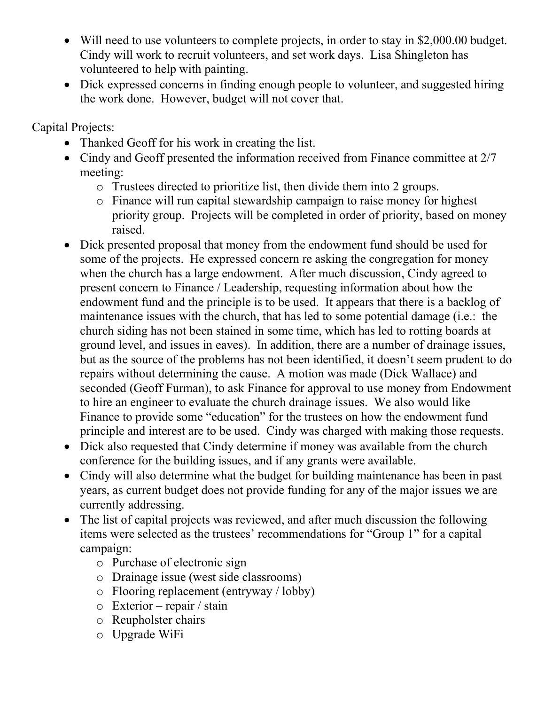- Will need to use volunteers to complete projects, in order to stay in \$2,000.00 budget. Cindy will work to recruit volunteers, and set work days. Lisa Shingleton has volunteered to help with painting.
- Dick expressed concerns in finding enough people to volunteer, and suggested hiring the work done. However, budget will not cover that.

Capital Projects:

- Thanked Geoff for his work in creating the list.
- Cindy and Geoff presented the information received from Finance committee at 2/7 meeting:
	- o Trustees directed to prioritize list, then divide them into 2 groups.
	- o Finance will run capital stewardship campaign to raise money for highest priority group. Projects will be completed in order of priority, based on money raised.
- Dick presented proposal that money from the endowment fund should be used for some of the projects. He expressed concern re asking the congregation for money when the church has a large endowment. After much discussion, Cindy agreed to present concern to Finance / Leadership, requesting information about how the endowment fund and the principle is to be used. It appears that there is a backlog of maintenance issues with the church, that has led to some potential damage (i.e.: the church siding has not been stained in some time, which has led to rotting boards at ground level, and issues in eaves). In addition, there are a number of drainage issues, but as the source of the problems has not been identified, it doesn't seem prudent to do repairs without determining the cause. A motion was made (Dick Wallace) and seconded (Geoff Furman), to ask Finance for approval to use money from Endowment to hire an engineer to evaluate the church drainage issues. We also would like Finance to provide some "education" for the trustees on how the endowment fund principle and interest are to be used. Cindy was charged with making those requests.
- Dick also requested that Cindy determine if money was available from the church conference for the building issues, and if any grants were available.
- Cindy will also determine what the budget for building maintenance has been in past years, as current budget does not provide funding for any of the major issues we are currently addressing.
- The list of capital projects was reviewed, and after much discussion the following items were selected as the trustees' recommendations for "Group 1" for a capital campaign:
	- o Purchase of electronic sign
	- o Drainage issue (west side classrooms)
	- o Flooring replacement (entryway / lobby)
	- o Exterior repair / stain
	- o Reupholster chairs
	- o Upgrade WiFi